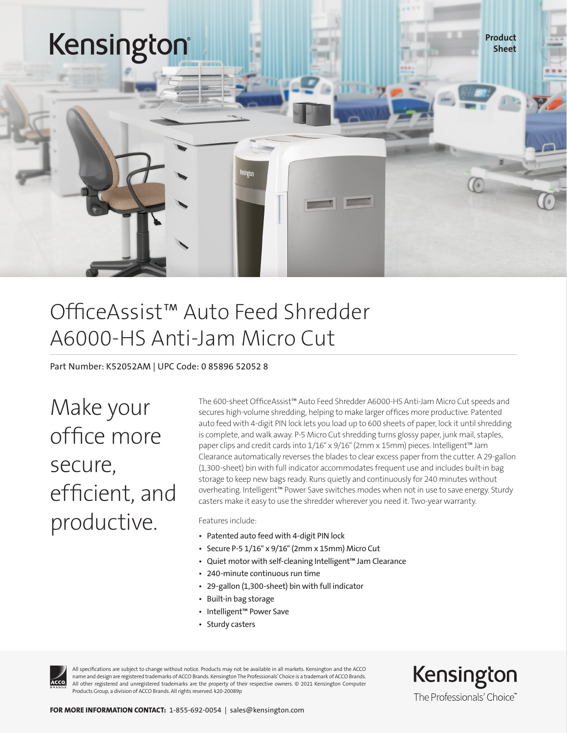

## OfficeAssist™ Auto Feed Shredder A6000-HS Anti-Jam Micro Cut

Part Number: K52052AM | UPC Code: 0 85896 52052 8

Make your office more secure, efficient, and productive.

The 600-sheet OfficeAssist™ Auto Feed Shredder A6000-HS Anti-Jam Micro Cut speeds and secures high-volume shredding, helping to make larger offices more productive. Patented auto feed with 4-digit PIN lock lets you load up to 600 sheets of paper, lock it until shredding is complete, and walk away. P-5 Micro Cut shredding turns glossy paper, junk mail, staples, paper clips and credit cards into 1/16" x 9/16" (2mm x 15mm) pieces. Intelligent™ Jam Clearance automatically reverses the blades to clear excess paper from the cutter. A 29-gallon (1,300-sheet) bin with full indicator accommodates frequent use and includes built-in bag storage to keep new bags ready. Runs quietly and continuously for 240 minutes without overheating. Intelligent™ Power Save switches modes when not in use to save energy. Sturdy casters make it easy to use the shredder wherever you need it. Two-year warranty.

Features include:

- Patented auto feed with 4-digit PIN lock
- Secure P-5 1/16" x 9/16" (2mm x 15mm) Micro Cut
- Quiet motor with self-cleaning Intelligent™ Jam Clearance
- 240-minute continuous run time
- 29-gallon (1,300-sheet) bin with full indicator
- Built-in bag storage
- Intelligent™ Power Save
- Sturdy casters



All specifications are subject to change without notice. Products may not be available in all markets. Kensington and the ACCO name and design are registered trademarks of ACCO Brands. Kensington The Professionals' Choice is a trademark of ACCO Brands. All other registered and unregistered trademarks are the property of their respective owners. © 2021 Kensington Computer Products Group, a division of ACCO Brands. All rights reserved. k20-20089p

Kensington The Professionals' Choice"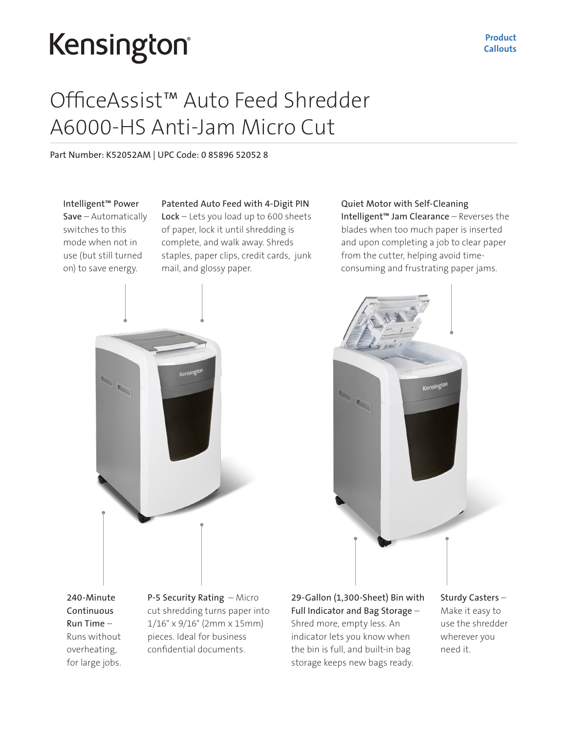# Kensington®

## OfficeAssist™ Auto Feed Shredder A6000-HS Anti-Jam Micro Cut

Part Number: K52052AM | UPC Code: 0 85896 52052 8

Intelligent™ Power Save – Automatically switches to this mode when not in use (but still turned on) to save energy.

### Patented Auto Feed with 4-Digit PIN

Lock – Lets you load up to 600 sheets of paper, lock it until shredding is complete, and walk away. Shreds staples, paper clips, credit cards, junk mail, and glossy paper.

### Quiet Motor with Self-Cleaning

Intelligent™ Jam Clearance – Reverses the blades when too much paper is inserted and upon completing a job to clear paper from the cutter, helping avoid timeconsuming and frustrating paper jams.





240-Minute Continuous Run Time – Runs without overheating, for large jobs. P-5 Security Rating – Micro cut shredding turns paper into 1/16" x 9/16" (2mm x 15mm) pieces. Ideal for business confidential documents.

29-Gallon (1,300-Sheet) Bin with Full Indicator and Bag Storage – Shred more, empty less. An indicator lets you know when the bin is full, and built-in bag storage keeps new bags ready.

Sturdy Casters – Make it easy to use the shredder wherever you need it.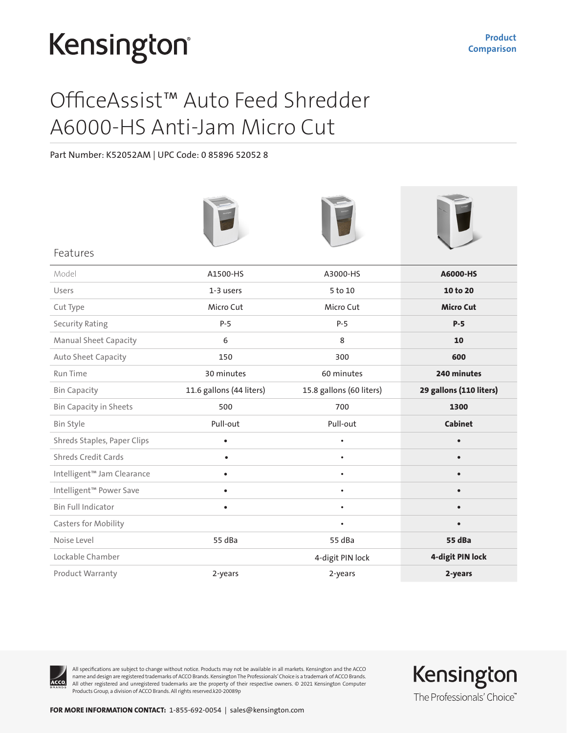# Kensington®

## OfficeAssist™ Auto Feed Shredder A6000-HS Anti-Jam Micro Cut

Part Number: K52052AM | UPC Code: 0 85896 52052 8

| Features                      |                          |                          |                         |
|-------------------------------|--------------------------|--------------------------|-------------------------|
| Model                         | A1500-HS                 | A3000-HS                 | A6000-HS                |
| Users                         | 1-3 users                | 5 to 10                  | 10 to 20                |
| Cut Type                      | Micro Cut                | Micro Cut                | <b>Micro Cut</b>        |
| <b>Security Rating</b>        | $P-5$                    | $P-5$                    | $P-5$                   |
| <b>Manual Sheet Capacity</b>  | 6                        | 8                        | 10                      |
| Auto Sheet Capacity           | 150                      | 300                      | 600                     |
| <b>Run Time</b>               | 30 minutes               | 60 minutes               | 240 minutes             |
| <b>Bin Capacity</b>           | 11.6 gallons (44 liters) | 15.8 gallons (60 liters) | 29 gallons (110 liters) |
| <b>Bin Capacity in Sheets</b> | 500                      | 700                      | 1300                    |
| <b>Bin Style</b>              | Pull-out                 | Pull-out                 | <b>Cabinet</b>          |
| Shreds Staples, Paper Clips   | $\bullet$                | $\bullet$                | $\bullet$               |
| Shreds Credit Cards           | $\bullet$                | $\bullet$                | $\bullet$               |
| Intelligent™ Jam Clearance    | $\bullet$                | $\bullet$                | $\bullet$               |
| Intelligent™ Power Save       | $\bullet$                | $\bullet$                | $\bullet$               |
| <b>Bin Full Indicator</b>     | $\bullet$                | $\bullet$                | $\bullet$               |
| Casters for Mobility          |                          | $\bullet$                |                         |
| Noise Level                   | 55 dBa                   | 55 dBa                   | 55 dBa                  |
| Lockable Chamber              |                          | 4-digit PIN lock         | 4-digit PIN lock        |
| Product Warranty              | 2-years                  | 2-years                  | 2-years                 |



All specifications are subject to change without notice. Products may not be available in all markets. Kensington and the ACCO name and design are registered trademarks of ACCO Brands. Kensington The Professionals' Choice is a trademark of ACCO Brands. All other registered and unregistered trademarks are the property of their respective owners. © 2021 Kensington Computer Products Group, a division of ACCO Brands. All rights reserved.k20-20089p

Kensington The Professionals' Choice"